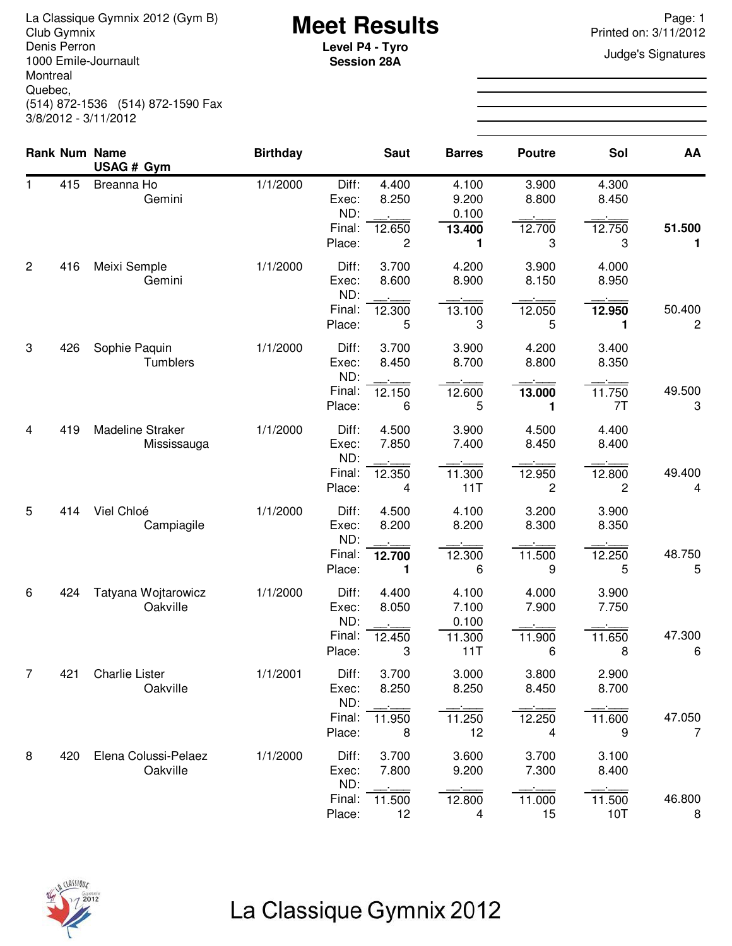La Classique Gymnix 2012 (Gym B)<br>Club Gymnix 2012 (Gym B) **Meet Results**<br>Denis Perron **Page: 1** Page: 1<br>Level **P4 - Tyro Page: 1** Page: 1 Denis Perron 1000 Emile-Journault Montreal Quebec, (514) 872-1536 (514) 872-1590 Fax 3/8/2012 - 3/11/2012

**Session 28A**

Printed on: 3/11/2012

**Judge's Signatures** 

|                |     | <b>Rank Num Name</b>                   | <b>Birthday</b> |                                           | <b>Saut</b>                    | <b>Barres</b>                            | <b>Poutre</b>                              | Sol                             | AA                       |
|----------------|-----|----------------------------------------|-----------------|-------------------------------------------|--------------------------------|------------------------------------------|--------------------------------------------|---------------------------------|--------------------------|
| 1              | 415 | USAG # Gym<br>Breanna Ho<br>Gemini     | 1/1/2000        | Diff:<br>Exec:<br>ND:<br>Final:<br>Place: | 4.400<br>8.250<br>12.650<br>2  | 4.100<br>9.200<br>0.100<br>13.400<br>1   | 3.900<br>8.800<br>12.700<br>3              | 4.300<br>8.450<br>12.750<br>3   | 51.500<br>1.             |
| $\overline{c}$ | 416 | Meixi Semple<br>Gemini                 | 1/1/2000        | Diff:<br>Exec:<br>ND:<br>Final:<br>Place: | 3.700<br>8.600<br>12.300<br>5  | 4.200<br>8.900<br>13.100<br>3            | 3.900<br>8.150<br>12.050<br>5              | 4.000<br>8.950<br>12.950<br>1   | 50.400<br>$\overline{c}$ |
| 3              | 426 | Sophie Paquin<br>Tumblers              | 1/1/2000        | Diff:<br>Exec:<br>ND:<br>Final:<br>Place: | 3.700<br>8.450<br>12.150<br>6  | 3.900<br>8.700<br>12.600<br>5            | 4.200<br>8.800<br>13.000<br>1              | 3.400<br>8.350<br>11.750<br>7T  | 49.500<br>3              |
| $\overline{4}$ | 419 | <b>Madeline Straker</b><br>Mississauga | 1/1/2000        | Diff:<br>Exec:<br>ND:<br>Final:<br>Place: | 4.500<br>7.850<br>12.350<br>4  | 3.900<br>7.400<br>11.300<br>11T          | 4.500<br>8.450<br>12.950<br>$\overline{c}$ | 4.400<br>8.400<br>12.800<br>2   | 49.400<br>4              |
| 5              | 414 | Viel Chloé<br>Campiagile               | 1/1/2000        | Diff:<br>Exec:<br>ND:<br>Final:<br>Place: | 4.500<br>8.200<br>12.700<br>1  | 4.100<br>8.200<br>12.300<br>6            | 3.200<br>8.300<br>11.500<br>9              | 3.900<br>8.350<br>12.250<br>5   | 48.750<br>5              |
| 6              | 424 | Tatyana Wojtarowicz<br>Oakville        | 1/1/2000        | Diff:<br>Exec:<br>ND:<br>Final:<br>Place: | 4.400<br>8.050<br>12.450<br>3  | 4.100<br>7.100<br>0.100<br>11.300<br>11T | 4.000<br>7.900<br>11.900<br>6              | 3.900<br>7.750<br>11.650<br>8   | 47.300<br>6              |
| $\overline{7}$ | 421 | <b>Charlie Lister</b><br>Oakville      | 1/1/2001        | Diff:<br>Exec:<br>ND:<br>Final:<br>Place: | 3.700<br>8.250<br>11.950<br>8  | 3.000<br>8.250<br>11.250<br>12           | 3.800<br>8.450<br>12.250<br>4              | 2.900<br>8.700<br>11.600<br>9   | 47.050<br>$\overline{7}$ |
| 8              | 420 | Elena Colussi-Pelaez<br>Oakville       | 1/1/2000        | Diff:<br>Exec:<br>ND:<br>Final:<br>Place: | 3.700<br>7.800<br>11.500<br>12 | 3.600<br>9.200<br>12.800<br>4            | 3.700<br>7.300<br>11.000<br>15             | 3.100<br>8.400<br>11.500<br>10T | 46.800<br>8              |



# La Classique Gymnix 2012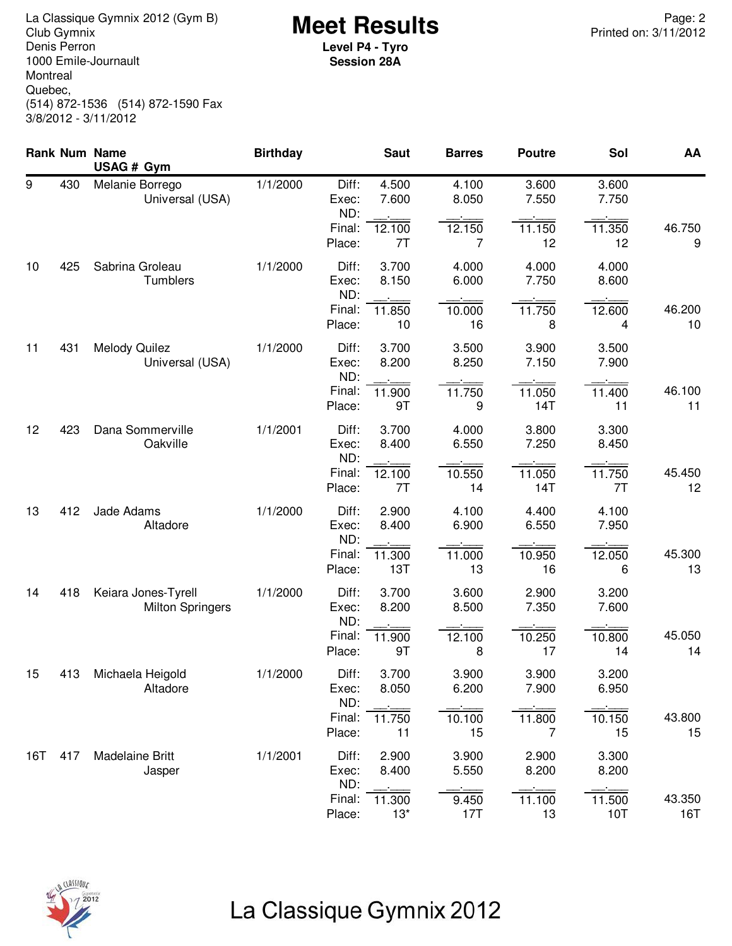**Meet Results** La Classique Gymnix 2012 (Gym B) Page: 2 Denis Perron 1000 Emile-Journault Montreal Quebec, (514) 872-1536 (514) 872-1590 Fax 3/8/2012 - 3/11/2012

**Level P4 - Tyro Session 28A**

|     |     | Rank Num Name<br>USAG # Gym                    | <b>Birthday</b> |                                 | <b>Saut</b>              | <b>Barres</b>  | <b>Poutre</b>  | Sol            | AA            |
|-----|-----|------------------------------------------------|-----------------|---------------------------------|--------------------------|----------------|----------------|----------------|---------------|
| 9   | 430 | Melanie Borrego<br>Universal (USA)             | 1/1/2000        | Diff:<br>Exec:<br>ND:<br>Final: | 4.500<br>7.600<br>12.100 | 4.100<br>8.050 | 3.600<br>7.550 | 3.600<br>7.750 | 46.750        |
|     |     |                                                |                 | Place:                          | 7T                       | 12.150<br>7    | 11.150<br>12   | 11.350<br>12   | 9             |
| 10  | 425 | Sabrina Groleau<br>Tumblers                    | 1/1/2000        | Diff:<br>Exec:<br>ND:           | 3.700<br>8.150           | 4.000<br>6.000 | 4.000<br>7.750 | 4.000<br>8.600 |               |
|     |     |                                                |                 | Final:<br>Place:                | 11.850<br>10             | 10.000<br>16   | 11.750<br>8    | 12.600<br>4    | 46.200<br>10  |
| 11  | 431 | <b>Melody Quilez</b><br>Universal (USA)        | 1/1/2000        | Diff:<br>Exec:<br>ND:           | 3.700<br>8.200           | 3.500<br>8.250 | 3.900<br>7.150 | 3.500<br>7.900 |               |
|     |     |                                                |                 | Final:<br>Place:                | 11.900<br>9T             | 11.750<br>9    | 11.050<br>14T  | 11.400<br>11   | 46.100<br>11  |
| 12  | 423 | Dana Sommerville<br>Oakville                   | 1/1/2001        | Diff:<br>Exec:<br>ND:           | 3.700<br>8.400           | 4.000<br>6.550 | 3.800<br>7.250 | 3.300<br>8.450 |               |
|     |     |                                                |                 | Final:<br>Place:                | 12.100<br>7T             | 10.550<br>14   | 11.050<br>14T  | 11.750<br>7T   | 45.450<br>12  |
| 13  | 412 | Jade Adams<br>Altadore                         | 1/1/2000        | Diff:<br>Exec:<br>ND:           | 2.900<br>8.400           | 4.100<br>6.900 | 4.400<br>6.550 | 4.100<br>7.950 |               |
|     |     |                                                |                 | Final:<br>Place:                | 11.300<br>13T            | 11.000<br>13   | 10.950<br>16   | 12.050<br>6    | 45.300<br>13  |
| 14  | 418 | Keiara Jones-Tyrell<br><b>Milton Springers</b> | 1/1/2000        | Diff:<br>Exec:<br>ND:           | 3.700<br>8.200           | 3.600<br>8.500 | 2.900<br>7.350 | 3.200<br>7.600 |               |
|     |     |                                                |                 | Final:<br>Place:                | 11.900<br>9T             | 12.100<br>8    | 10.250<br>17   | 10.800<br>14   | 45.050<br>14  |
| 15  | 413 | Michaela Heigold<br>Altadore                   | 1/1/2000        | Diff:<br>Exec:                  | 3.700<br>8.050           | 3.900<br>6.200 | 3.900<br>7.900 | 3.200<br>6.950 |               |
|     |     |                                                |                 | ND:<br>Final:<br>Place:         | 11.750<br>11             | 10.100<br>15   | 11.800<br>7    | 10.150<br>15   | 43.800<br>15  |
| 16T | 417 | <b>Madelaine Britt</b><br>Jasper               | 1/1/2001        | Diff:<br>Exec:<br>ND:           | 2.900<br>8.400           | 3.900<br>5.550 | 2.900<br>8.200 | 3.300<br>8.200 |               |
|     |     |                                                |                 | Final:<br>Place:                | 11.300<br>$13*$          | 9.450<br>17T   | 11.100<br>13   | 11.500<br>10T  | 43.350<br>16T |



# La Classique Gymnix 2012